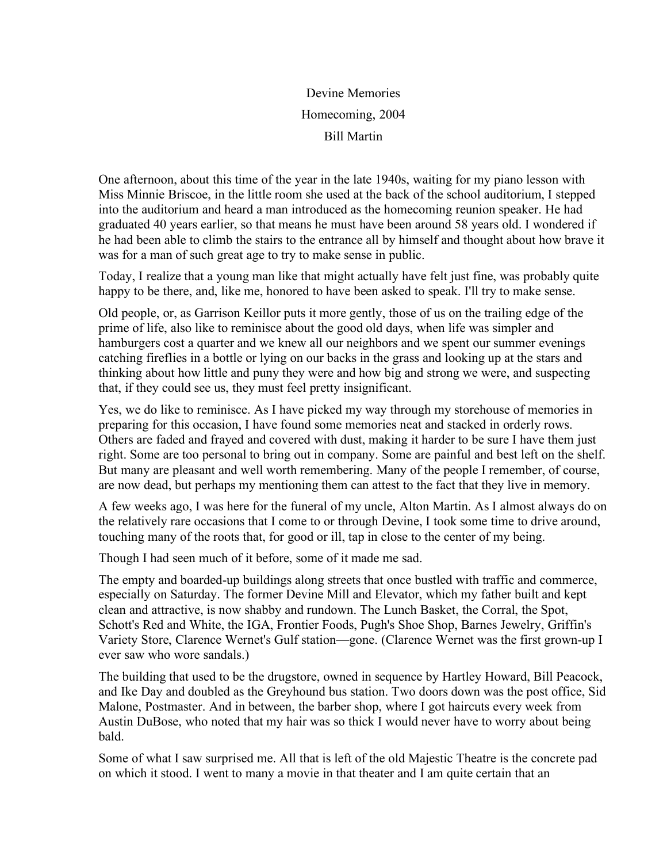Devine Memories Homecoming, 2004 Bill Martin

One afternoon, about this time of the year in the late 1940s, waiting for my piano lesson with Miss Minnie Briscoe, in the little room she used at the back of the school auditorium, I stepped into the auditorium and heard a man introduced as the homecoming reunion speaker. He had graduated 40 years earlier, so that means he must have been around 58 years old. I wondered if he had been able to climb the stairs to the entrance all by himself and thought about how brave it was for a man of such great age to try to make sense in public.

Today, I realize that a young man like that might actually have felt just fine, was probably quite happy to be there, and, like me, honored to have been asked to speak. I'll try to make sense.

Old people, or, as Garrison Keillor puts it more gently, those of us on the trailing edge of the prime of life, also like to reminisce about the good old days, when life was simpler and hamburgers cost a quarter and we knew all our neighbors and we spent our summer evenings catching fireflies in a bottle or lying on our backs in the grass and looking up at the stars and thinking about how little and puny they were and how big and strong we were, and suspecting that, if they could see us, they must feel pretty insignificant.

Yes, we do like to reminisce. As I have picked my way through my storehouse of memories in preparing for this occasion, I have found some memories neat and stacked in orderly rows. Others are faded and frayed and covered with dust, making it harder to be sure I have them just right. Some are too personal to bring out in company. Some are painful and best left on the shelf. But many are pleasant and well worth remembering. Many of the people I remember, of course, are now dead, but perhaps my mentioning them can attest to the fact that they live in memory.

A few weeks ago, I was here for the funeral of my uncle, Alton Martin. As I almost always do on the relatively rare occasions that I come to or through Devine, I took some time to drive around, touching many of the roots that, for good or ill, tap in close to the center of my being.

Though I had seen much of it before, some of it made me sad.

The empty and boarded-up buildings along streets that once bustled with traffic and commerce, especially on Saturday. The former Devine Mill and Elevator, which my father built and kept clean and attractive, is now shabby and rundown. The Lunch Basket, the Corral, the Spot, Schott's Red and White, the IGA, Frontier Foods, Pugh's Shoe Shop, Barnes Jewelry, Griffin's Variety Store, Clarence Wernet's Gulf station—gone. (Clarence Wernet was the first grown-up I ever saw who wore sandals.)

The building that used to be the drugstore, owned in sequence by Hartley Howard, Bill Peacock, and Ike Day and doubled as the Greyhound bus station. Two doors down was the post office, Sid Malone, Postmaster. And in between, the barber shop, where I got haircuts every week from Austin DuBose, who noted that my hair was so thick I would never have to worry about being bald.

Some of what I saw surprised me. All that is left of the old Majestic Theatre is the concrete pad on which it stood. I went to many a movie in that theater and I am quite certain that an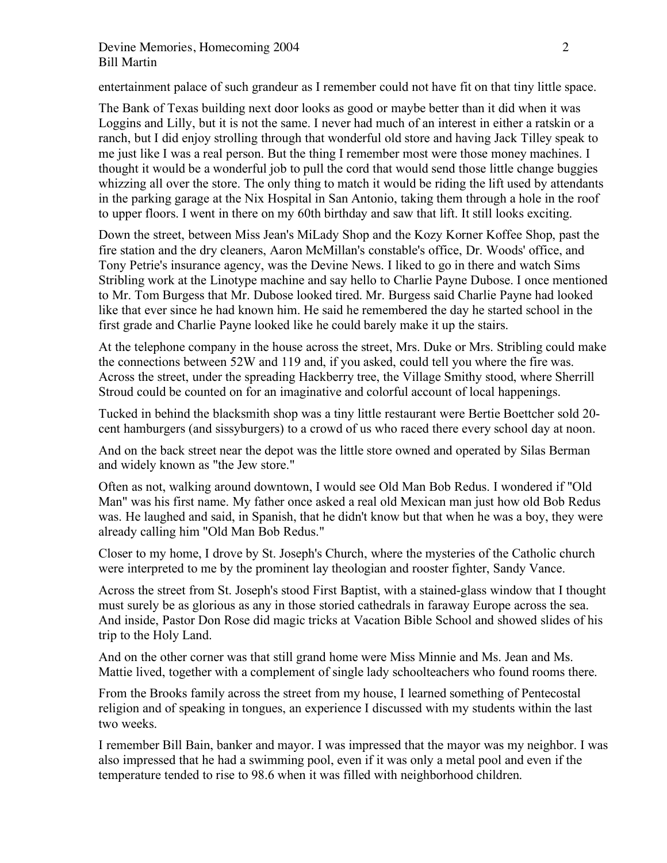# Devine Memories, Homecoming 2004 2 Bill Martin

entertainment palace of such grandeur as I remember could not have fit on that tiny little space.

The Bank of Texas building next door looks as good or maybe better than it did when it was Loggins and Lilly, but it is not the same. I never had much of an interest in either a ratskin or a ranch, but I did enjoy strolling through that wonderful old store and having Jack Tilley speak to me just like I was a real person. But the thing I remember most were those money machines. I thought it would be a wonderful job to pull the cord that would send those little change buggies whizzing all over the store. The only thing to match it would be riding the lift used by attendants in the parking garage at the Nix Hospital in San Antonio, taking them through a hole in the roof to upper floors. I went in there on my 60th birthday and saw that lift. It still looks exciting.

Down the street, between Miss Jean's MiLady Shop and the Kozy Korner Koffee Shop, past the fire station and the dry cleaners, Aaron McMillan's constable's office, Dr. Woods' office, and Tony Petrie's insurance agency, was the Devine News. I liked to go in there and watch Sims Stribling work at the Linotype machine and say hello to Charlie Payne Dubose. I once mentioned to Mr. Tom Burgess that Mr. Dubose looked tired. Mr. Burgess said Charlie Payne had looked like that ever since he had known him. He said he remembered the day he started school in the first grade and Charlie Payne looked like he could barely make it up the stairs.

At the telephone company in the house across the street, Mrs. Duke or Mrs. Stribling could make the connections between 52W and 119 and, if you asked, could tell you where the fire was. Across the street, under the spreading Hackberry tree, the Village Smithy stood, where Sherrill Stroud could be counted on for an imaginative and colorful account of local happenings.

Tucked in behind the blacksmith shop was a tiny little restaurant were Bertie Boettcher sold 20 cent hamburgers (and sissyburgers) to a crowd of us who raced there every school day at noon.

And on the back street near the depot was the little store owned and operated by Silas Berman and widely known as "the Jew store."

Often as not, walking around downtown, I would see Old Man Bob Redus. I wondered if "Old Man" was his first name. My father once asked a real old Mexican man just how old Bob Redus was. He laughed and said, in Spanish, that he didn't know but that when he was a boy, they were already calling him "Old Man Bob Redus."

Closer to my home, I drove by St. Joseph's Church, where the mysteries of the Catholic church were interpreted to me by the prominent lay theologian and rooster fighter, Sandy Vance.

Across the street from St. Joseph's stood First Baptist, with a stained-glass window that I thought must surely be as glorious as any in those storied cathedrals in faraway Europe across the sea. And inside, Pastor Don Rose did magic tricks at Vacation Bible School and showed slides of his trip to the Holy Land.

And on the other corner was that still grand home were Miss Minnie and Ms. Jean and Ms. Mattie lived, together with a complement of single lady schoolteachers who found rooms there.

From the Brooks family across the street from my house, I learned something of Pentecostal religion and of speaking in tongues, an experience I discussed with my students within the last two weeks.

I remember Bill Bain, banker and mayor. I was impressed that the mayor was my neighbor. I was also impressed that he had a swimming pool, even if it was only a metal pool and even if the temperature tended to rise to 98.6 when it was filled with neighborhood children.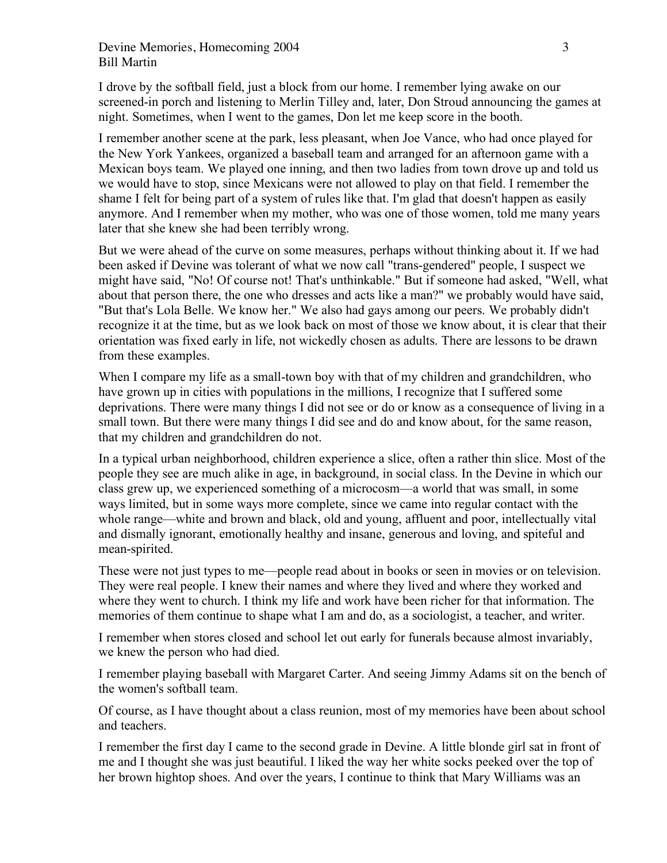# Devine Memories, Homecoming 2004 3 Bill Martin

I drove by the softball field, just a block from our home. I remember lying awake on our screened-in porch and listening to Merlin Tilley and, later, Don Stroud announcing the games at night. Sometimes, when I went to the games, Don let me keep score in the booth.

I remember another scene at the park, less pleasant, when Joe Vance, who had once played for the New York Yankees, organized a baseball team and arranged for an afternoon game with a Mexican boys team. We played one inning, and then two ladies from town drove up and told us we would have to stop, since Mexicans were not allowed to play on that field. I remember the shame I felt for being part of a system of rules like that. I'm glad that doesn't happen as easily anymore. And I remember when my mother, who was one of those women, told me many years later that she knew she had been terribly wrong.

But we were ahead of the curve on some measures, perhaps without thinking about it. If we had been asked if Devine was tolerant of what we now call "trans-gendered" people, I suspect we might have said, "No! Of course not! That's unthinkable." But if someone had asked, "Well, what about that person there, the one who dresses and acts like a man?" we probably would have said, "But that's Lola Belle. We know her." We also had gays among our peers. We probably didn't recognize it at the time, but as we look back on most of those we know about, it is clear that their orientation was fixed early in life, not wickedly chosen as adults. There are lessons to be drawn from these examples.

When I compare my life as a small-town boy with that of my children and grandchildren, who have grown up in cities with populations in the millions, I recognize that I suffered some deprivations. There were many things I did not see or do or know as a consequence of living in a small town. But there were many things I did see and do and know about, for the same reason, that my children and grandchildren do not.

In a typical urban neighborhood, children experience a slice, often a rather thin slice. Most of the people they see are much alike in age, in background, in social class. In the Devine in which our class grew up, we experienced something of a microcosm—a world that was small, in some ways limited, but in some ways more complete, since we came into regular contact with the whole range—white and brown and black, old and young, affluent and poor, intellectually vital and dismally ignorant, emotionally healthy and insane, generous and loving, and spiteful and mean-spirited.

These were not just types to me—people read about in books or seen in movies or on television. They were real people. I knew their names and where they lived and where they worked and where they went to church. I think my life and work have been richer for that information. The memories of them continue to shape what I am and do, as a sociologist, a teacher, and writer.

I remember when stores closed and school let out early for funerals because almost invariably, we knew the person who had died.

I remember playing baseball with Margaret Carter. And seeing Jimmy Adams sit on the bench of the women's softball team.

Of course, as I have thought about a class reunion, most of my memories have been about school and teachers.

I remember the first day I came to the second grade in Devine. A little blonde girl sat in front of me and I thought she was just beautiful. I liked the way her white socks peeked over the top of her brown hightop shoes. And over the years, I continue to think that Mary Williams was an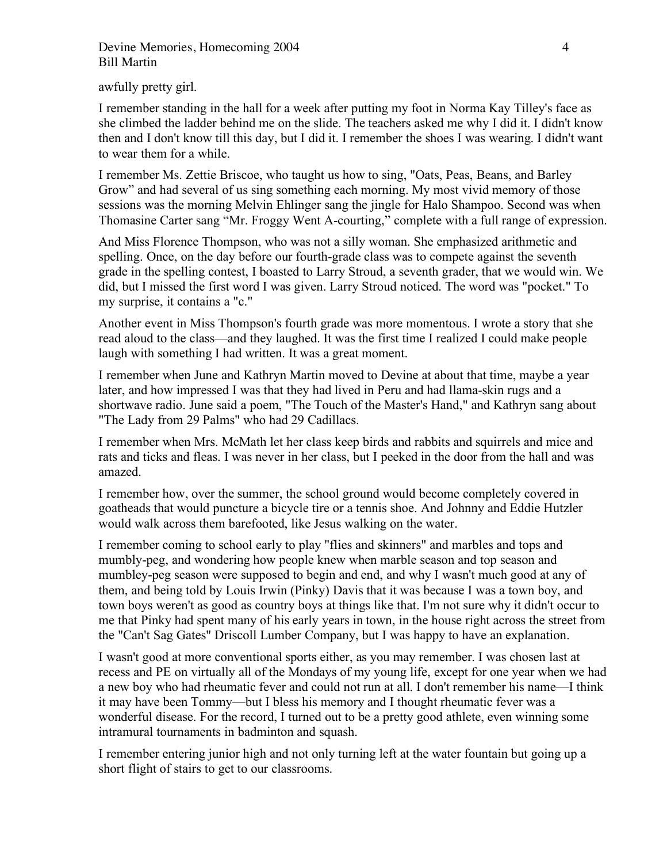awfully pretty girl.

I remember standing in the hall for a week after putting my foot in Norma Kay Tilley's face as she climbed the ladder behind me on the slide. The teachers asked me why I did it. I didn't know then and I don't know till this day, but I did it. I remember the shoes I was wearing. I didn't want to wear them for a while.

I remember Ms. Zettie Briscoe, who taught us how to sing, "Oats, Peas, Beans, and Barley Grow" and had several of us sing something each morning. My most vivid memory of those sessions was the morning Melvin Ehlinger sang the jingle for Halo Shampoo. Second was when Thomasine Carter sang "Mr. Froggy Went A-courting," complete with a full range of expression.

And Miss Florence Thompson, who was not a silly woman. She emphasized arithmetic and spelling. Once, on the day before our fourth-grade class was to compete against the seventh grade in the spelling contest, I boasted to Larry Stroud, a seventh grader, that we would win. We did, but I missed the first word I was given. Larry Stroud noticed. The word was "pocket." To my surprise, it contains a "c."

Another event in Miss Thompson's fourth grade was more momentous. I wrote a story that she read aloud to the class—and they laughed. It was the first time I realized I could make people laugh with something I had written. It was a great moment.

I remember when June and Kathryn Martin moved to Devine at about that time, maybe a year later, and how impressed I was that they had lived in Peru and had llama-skin rugs and a shortwave radio. June said a poem, "The Touch of the Master's Hand," and Kathryn sang about "The Lady from 29 Palms" who had 29 Cadillacs.

I remember when Mrs. McMath let her class keep birds and rabbits and squirrels and mice and rats and ticks and fleas. I was never in her class, but I peeked in the door from the hall and was amazed.

I remember how, over the summer, the school ground would become completely covered in goatheads that would puncture a bicycle tire or a tennis shoe. And Johnny and Eddie Hutzler would walk across them barefooted, like Jesus walking on the water.

I remember coming to school early to play "flies and skinners" and marbles and tops and mumbly-peg, and wondering how people knew when marble season and top season and mumbley-peg season were supposed to begin and end, and why I wasn't much good at any of them, and being told by Louis Irwin (Pinky) Davis that it was because I was a town boy, and town boys weren't as good as country boys at things like that. I'm not sure why it didn't occur to me that Pinky had spent many of his early years in town, in the house right across the street from the "Can't Sag Gates" Driscoll Lumber Company, but I was happy to have an explanation.

I wasn't good at more conventional sports either, as you may remember. I was chosen last at recess and PE on virtually all of the Mondays of my young life, except for one year when we had a new boy who had rheumatic fever and could not run at all. I don't remember his name—I think it may have been Tommy—but I bless his memory and I thought rheumatic fever was a wonderful disease. For the record, I turned out to be a pretty good athlete, even winning some intramural tournaments in badminton and squash.

I remember entering junior high and not only turning left at the water fountain but going up a short flight of stairs to get to our classrooms.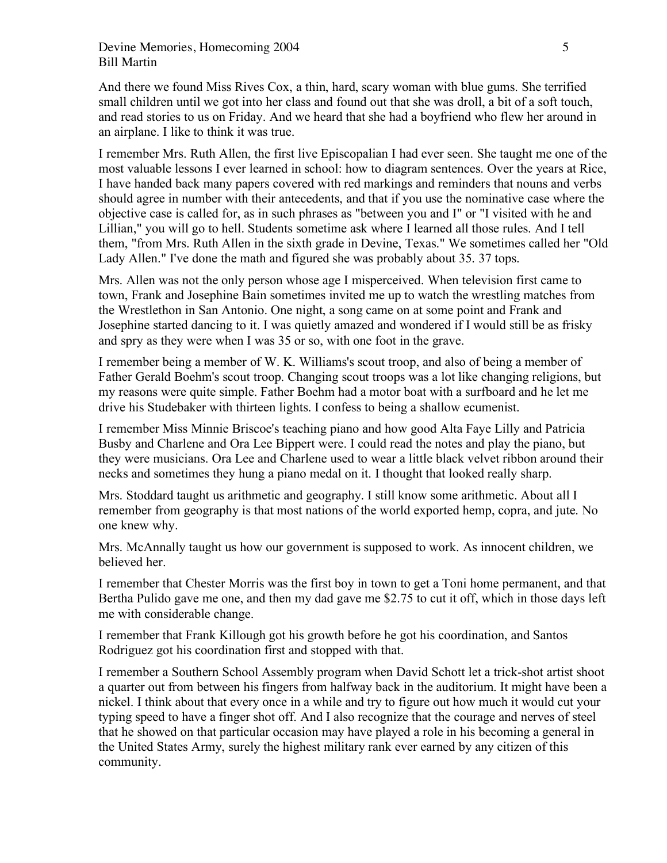# Devine Memories, Homecoming 2004 5 Bill Martin

And there we found Miss Rives Cox, a thin, hard, scary woman with blue gums. She terrified small children until we got into her class and found out that she was droll, a bit of a soft touch, and read stories to us on Friday. And we heard that she had a boyfriend who flew her around in an airplane. I like to think it was true.

I remember Mrs. Ruth Allen, the first live Episcopalian I had ever seen. She taught me one of the most valuable lessons I ever learned in school: how to diagram sentences. Over the years at Rice, I have handed back many papers covered with red markings and reminders that nouns and verbs should agree in number with their antecedents, and that if you use the nominative case where the objective case is called for, as in such phrases as "between you and I" or "I visited with he and Lillian," you will go to hell. Students sometime ask where I learned all those rules. And I tell them, "from Mrs. Ruth Allen in the sixth grade in Devine, Texas." We sometimes called her "Old Lady Allen." I've done the math and figured she was probably about 35. 37 tops.

Mrs. Allen was not the only person whose age I misperceived. When television first came to town, Frank and Josephine Bain sometimes invited me up to watch the wrestling matches from the Wrestlethon in San Antonio. One night, a song came on at some point and Frank and Josephine started dancing to it. I was quietly amazed and wondered if I would still be as frisky and spry as they were when I was 35 or so, with one foot in the grave.

I remember being a member of W. K. Williams's scout troop, and also of being a member of Father Gerald Boehm's scout troop. Changing scout troops was a lot like changing religions, but my reasons were quite simple. Father Boehm had a motor boat with a surfboard and he let me drive his Studebaker with thirteen lights. I confess to being a shallow ecumenist.

I remember Miss Minnie Briscoe's teaching piano and how good Alta Faye Lilly and Patricia Busby and Charlene and Ora Lee Bippert were. I could read the notes and play the piano, but they were musicians. Ora Lee and Charlene used to wear a little black velvet ribbon around their necks and sometimes they hung a piano medal on it. I thought that looked really sharp.

Mrs. Stoddard taught us arithmetic and geography. I still know some arithmetic. About all I remember from geography is that most nations of the world exported hemp, copra, and jute. No one knew why.

Mrs. McAnnally taught us how our government is supposed to work. As innocent children, we believed her.

I remember that Chester Morris was the first boy in town to get a Toni home permanent, and that Bertha Pulido gave me one, and then my dad gave me \$2.75 to cut it off, which in those days left me with considerable change.

I remember that Frank Killough got his growth before he got his coordination, and Santos Rodriguez got his coordination first and stopped with that.

I remember a Southern School Assembly program when David Schott let a trick-shot artist shoot a quarter out from between his fingers from halfway back in the auditorium. It might have been a nickel. I think about that every once in a while and try to figure out how much it would cut your typing speed to have a finger shot off. And I also recognize that the courage and nerves of steel that he showed on that particular occasion may have played a role in his becoming a general in the United States Army, surely the highest military rank ever earned by any citizen of this community.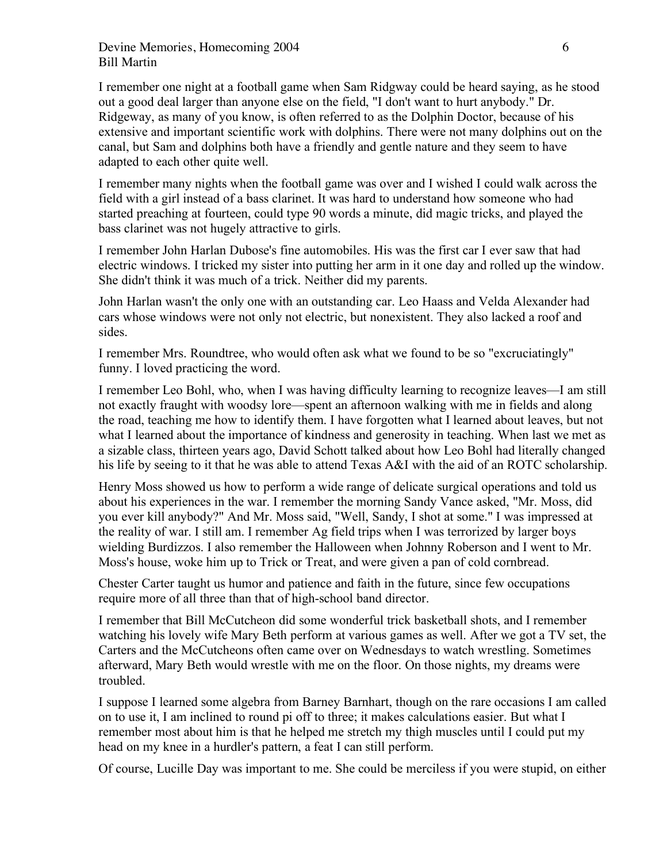# Devine Memories, Homecoming 2004 6 Bill Martin

I remember one night at a football game when Sam Ridgway could be heard saying, as he stood out a good deal larger than anyone else on the field, "I don't want to hurt anybody." Dr. Ridgeway, as many of you know, is often referred to as the Dolphin Doctor, because of his extensive and important scientific work with dolphins. There were not many dolphins out on the canal, but Sam and dolphins both have a friendly and gentle nature and they seem to have adapted to each other quite well.

I remember many nights when the football game was over and I wished I could walk across the field with a girl instead of a bass clarinet. It was hard to understand how someone who had started preaching at fourteen, could type 90 words a minute, did magic tricks, and played the bass clarinet was not hugely attractive to girls.

I remember John Harlan Dubose's fine automobiles. His was the first car I ever saw that had electric windows. I tricked my sister into putting her arm in it one day and rolled up the window. She didn't think it was much of a trick. Neither did my parents.

John Harlan wasn't the only one with an outstanding car. Leo Haass and Velda Alexander had cars whose windows were not only not electric, but nonexistent. They also lacked a roof and sides.

I remember Mrs. Roundtree, who would often ask what we found to be so "excruciatingly" funny. I loved practicing the word.

I remember Leo Bohl, who, when I was having difficulty learning to recognize leaves—I am still not exactly fraught with woodsy lore—spent an afternoon walking with me in fields and along the road, teaching me how to identify them. I have forgotten what I learned about leaves, but not what I learned about the importance of kindness and generosity in teaching. When last we met as a sizable class, thirteen years ago, David Schott talked about how Leo Bohl had literally changed his life by seeing to it that he was able to attend Texas A&I with the aid of an ROTC scholarship.

Henry Moss showed us how to perform a wide range of delicate surgical operations and told us about his experiences in the war. I remember the morning Sandy Vance asked, "Mr. Moss, did you ever kill anybody?" And Mr. Moss said, "Well, Sandy, I shot at some." I was impressed at the reality of war. I still am. I remember Ag field trips when I was terrorized by larger boys wielding Burdizzos. I also remember the Halloween when Johnny Roberson and I went to Mr. Moss's house, woke him up to Trick or Treat, and were given a pan of cold cornbread.

Chester Carter taught us humor and patience and faith in the future, since few occupations require more of all three than that of high-school band director.

I remember that Bill McCutcheon did some wonderful trick basketball shots, and I remember watching his lovely wife Mary Beth perform at various games as well. After we got a TV set, the Carters and the McCutcheons often came over on Wednesdays to watch wrestling. Sometimes afterward, Mary Beth would wrestle with me on the floor. On those nights, my dreams were troubled.

I suppose I learned some algebra from Barney Barnhart, though on the rare occasions I am called on to use it, I am inclined to round pi off to three; it makes calculations easier. But what I remember most about him is that he helped me stretch my thigh muscles until I could put my head on my knee in a hurdler's pattern, a feat I can still perform.

Of course, Lucille Day was important to me. She could be merciless if you were stupid, on either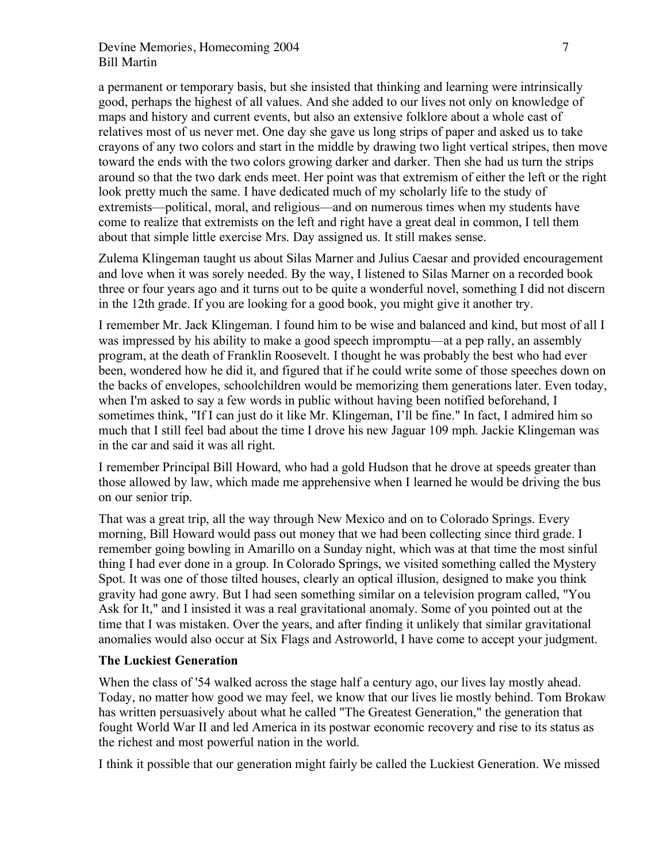## Devine Memories, Homecoming 2004 7 7 Bill Martin

a permanent or temporary basis, but she insisted that thinking and learning were intrinsically good, perhaps the highest of all values. And she added to our lives not only on knowledge of maps and history and current events, but also an extensive folklore about a whole cast of relatives most of us never met. One day she gave us long strips of paper and asked us to take crayons of any two colors and start in the middle by drawing two light vertical stripes, then move toward the ends with the two colors growing darker and darker. Then she had us turn the strips around so that the two dark ends meet. Her point was that extremism of either the left or the right look pretty much the same. I have dedicated much of my scholarly life to the study of extremists—political, moral, and religious—and on numerous times when my students have come to realize that extremists on the left and right have a great deal in common, I tell them about that simple little exercise Mrs. Day assigned us. It still makes sense.

Zulema Klingeman taught us about Silas Marner and Julius Caesar and provided encouragement and love when it was sorely needed. By the way, I listened to Silas Marner on a recorded book three or four years ago and it turns out to be quite a wonderful novel, something I did not discern in the 12th grade. If you are looking for a good book, you might give it another try.

I remember Mr. Jack Klingeman. I found him to be wise and balanced and kind, but most of all I was impressed by his ability to make a good speech impromptu—at a pep rally, an assembly program, at the death of Franklin Roosevelt. I thought he was probably the best who had ever been, wondered how he did it, and figured that if he could write some of those speeches down on the backs of envelopes, schoolchildren would be memorizing them generations later. Even today, when I'm asked to say a few words in public without having been notified beforehand, I sometimes think, "If I can just do it like Mr. Klingeman, I'll be fine." In fact, I admired him so much that I still feel bad about the time I drove his new Jaguar 109 mph. Jackie Klingeman was in the car and said it was all right.

I remember Principal Bill Howard, who had a gold Hudson that he drove at speeds greater than those allowed by law, which made me apprehensive when I learned he would be driving the bus on our senior trip.

That was a great trip, all the way through New Mexico and on to Colorado Springs. Every morning, Bill Howard would pass out money that we had been collecting since third grade. I remember going bowling in Amarillo on a Sunday night, which was at that time the most sinful thing I had ever done in a group. In Colorado Springs, we visited something called the Mystery Spot. It was one of those tilted houses, clearly an optical illusion, designed to make you think gravity had gone awry. But I had seen something similar on a television program called, "You Ask for It," and I insisted it was a real gravitational anomaly. Some of you pointed out at the time that I was mistaken. Over the years, and after finding it unlikely that similar gravitational anomalies would also occur at Six Flags and Astroworld, I have come to accept your judgment.

# **The Luckiest Generation**

When the class of '54 walked across the stage half a century ago, our lives lay mostly ahead. Today, no matter how good we may feel, we know that our lives lie mostly behind. Tom Brokaw has written persuasively about what he called "The Greatest Generation," the generation that fought World War II and led America in its postwar economic recovery and rise to its status as the richest and most powerful nation in the world.

I think it possible that our generation might fairly be called the Luckiest Generation. We missed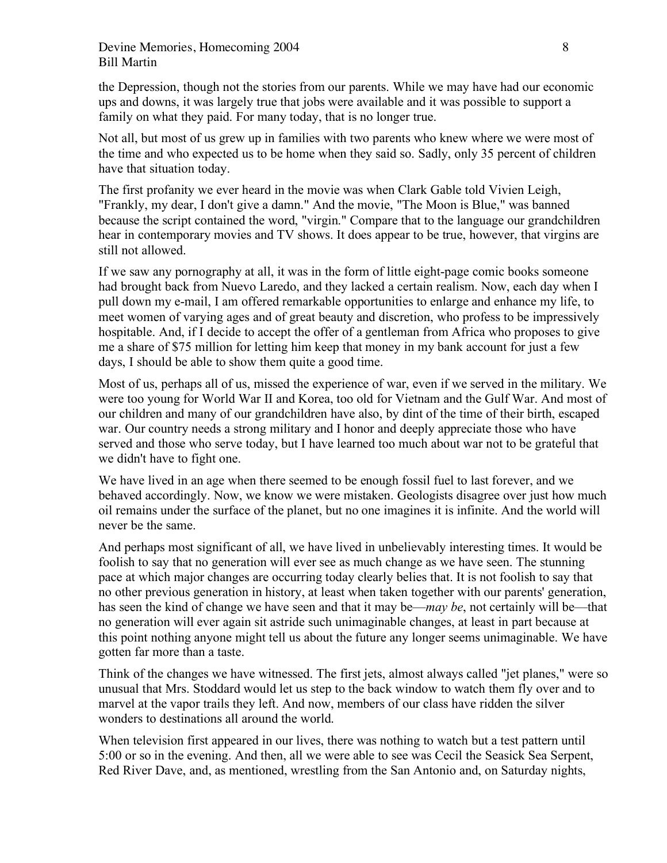# Devine Memories, Homecoming 2004 8 Bill Martin

the Depression, though not the stories from our parents. While we may have had our economic ups and downs, it was largely true that jobs were available and it was possible to support a family on what they paid. For many today, that is no longer true.

Not all, but most of us grew up in families with two parents who knew where we were most of the time and who expected us to be home when they said so. Sadly, only 35 percent of children have that situation today.

The first profanity we ever heard in the movie was when Clark Gable told Vivien Leigh, "Frankly, my dear, I don't give a damn." And the movie, "The Moon is Blue," was banned because the script contained the word, "virgin." Compare that to the language our grandchildren hear in contemporary movies and TV shows. It does appear to be true, however, that virgins are still not allowed.

If we saw any pornography at all, it was in the form of little eight-page comic books someone had brought back from Nuevo Laredo, and they lacked a certain realism. Now, each day when I pull down my e-mail, I am offered remarkable opportunities to enlarge and enhance my life, to meet women of varying ages and of great beauty and discretion, who profess to be impressively hospitable. And, if I decide to accept the offer of a gentleman from Africa who proposes to give me a share of \$75 million for letting him keep that money in my bank account for just a few days, I should be able to show them quite a good time.

Most of us, perhaps all of us, missed the experience of war, even if we served in the military. We were too young for World War II and Korea, too old for Vietnam and the Gulf War. And most of our children and many of our grandchildren have also, by dint of the time of their birth, escaped war. Our country needs a strong military and I honor and deeply appreciate those who have served and those who serve today, but I have learned too much about war not to be grateful that we didn't have to fight one.

We have lived in an age when there seemed to be enough fossil fuel to last forever, and we behaved accordingly. Now, we know we were mistaken. Geologists disagree over just how much oil remains under the surface of the planet, but no one imagines it is infinite. And the world will never be the same.

And perhaps most significant of all, we have lived in unbelievably interesting times. It would be foolish to say that no generation will ever see as much change as we have seen. The stunning pace at which major changes are occurring today clearly belies that. It is not foolish to say that no other previous generation in history, at least when taken together with our parents' generation, has seen the kind of change we have seen and that it may be—*may be*, not certainly will be—that no generation will ever again sit astride such unimaginable changes, at least in part because at this point nothing anyone might tell us about the future any longer seems unimaginable. We have gotten far more than a taste.

Think of the changes we have witnessed. The first jets, almost always called "jet planes," were so unusual that Mrs. Stoddard would let us step to the back window to watch them fly over and to marvel at the vapor trails they left. And now, members of our class have ridden the silver wonders to destinations all around the world.

When television first appeared in our lives, there was nothing to watch but a test pattern until 5:00 or so in the evening. And then, all we were able to see was Cecil the Seasick Sea Serpent, Red River Dave, and, as mentioned, wrestling from the San Antonio and, on Saturday nights,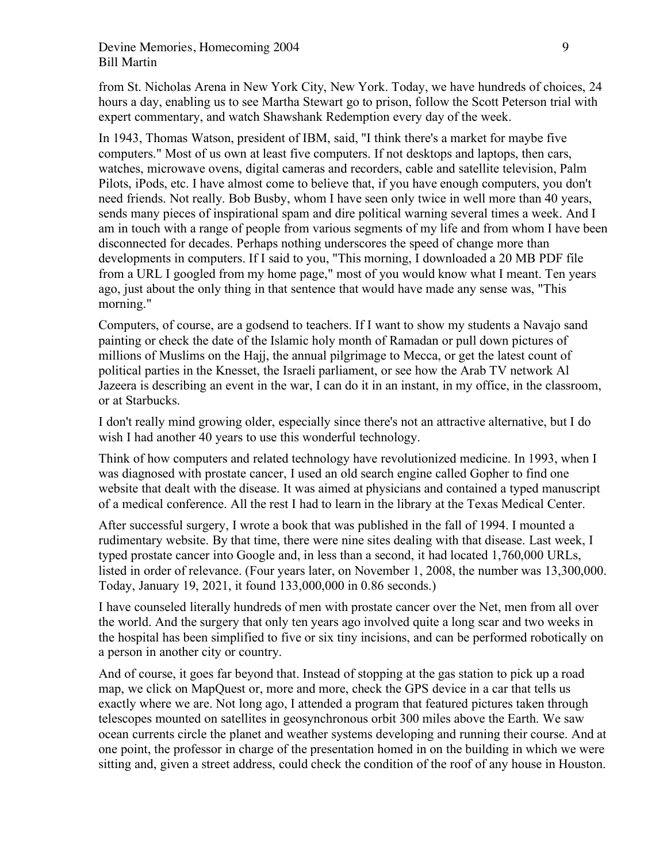# Devine Memories, Homecoming 2004 9 Bill Martin

from St. Nicholas Arena in New York City, New York. Today, we have hundreds of choices, 24 hours a day, enabling us to see Martha Stewart go to prison, follow the Scott Peterson trial with expert commentary, and watch Shawshank Redemption every day of the week.

In 1943, Thomas Watson, president of IBM, said, "I think there's a market for maybe five computers." Most of us own at least five computers. If not desktops and laptops, then cars, watches, microwave ovens, digital cameras and recorders, cable and satellite television, Palm Pilots, iPods, etc. I have almost come to believe that, if you have enough computers, you don't need friends. Not really. Bob Busby, whom I have seen only twice in well more than 40 years, sends many pieces of inspirational spam and dire political warning several times a week. And I am in touch with a range of people from various segments of my life and from whom I have been disconnected for decades. Perhaps nothing underscores the speed of change more than developments in computers. If I said to you, "This morning, I downloaded a 20 MB PDF file from a URL I googled from my home page," most of you would know what I meant. Ten years ago, just about the only thing in that sentence that would have made any sense was, "This morning."

Computers, of course, are a godsend to teachers. If I want to show my students a Navajo sand painting or check the date of the Islamic holy month of Ramadan or pull down pictures of millions of Muslims on the Hajj, the annual pilgrimage to Mecca, or get the latest count of political parties in the Knesset, the Israeli parliament, or see how the Arab TV network Al Jazeera is describing an event in the war, I can do it in an instant, in my office, in the classroom, or at Starbucks.

I don't really mind growing older, especially since there's not an attractive alternative, but I do wish I had another 40 years to use this wonderful technology.

Think of how computers and related technology have revolutionized medicine. In 1993, when I was diagnosed with prostate cancer, I used an old search engine called Gopher to find one website that dealt with the disease. It was aimed at physicians and contained a typed manuscript of a medical conference. All the rest I had to learn in the library at the Texas Medical Center.

After successful surgery, I wrote a book that was published in the fall of 1994. I mounted a rudimentary website. By that time, there were nine sites dealing with that disease. Last week, I typed prostate cancer into Google and, in less than a second, it had located 1,760,000 URLs, listed in order of relevance. (Four years later, on November 1, 2008, the number was 13,300,000. Today, January 19, 2021, it found 133,000,000 in 0.86 seconds.)

I have counseled literally hundreds of men with prostate cancer over the Net, men from all over the world. And the surgery that only ten years ago involved quite a long scar and two weeks in the hospital has been simplified to five or six tiny incisions, and can be performed robotically on a person in another city or country.

And of course, it goes far beyond that. Instead of stopping at the gas station to pick up a road map, we click on MapQuest or, more and more, check the GPS device in a car that tells us exactly where we are. Not long ago, I attended a program that featured pictures taken through telescopes mounted on satellites in geosynchronous orbit 300 miles above the Earth. We saw ocean currents circle the planet and weather systems developing and running their course. And at one point, the professor in charge of the presentation homed in on the building in which we were sitting and, given a street address, could check the condition of the roof of any house in Houston.